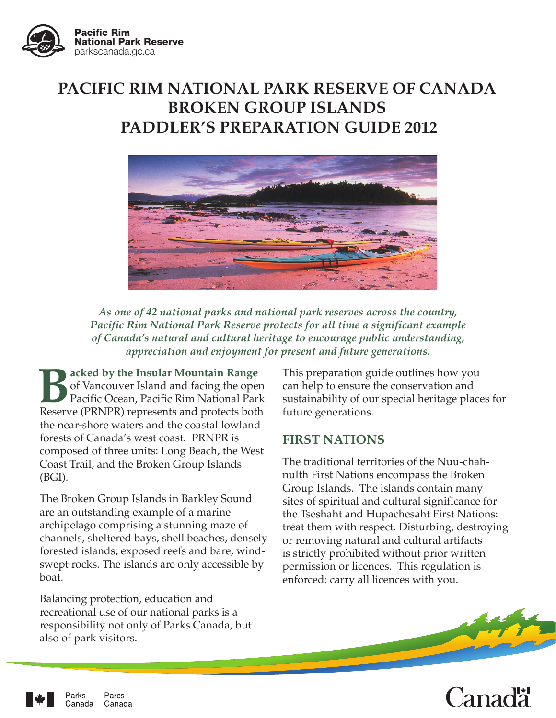

# **PACIFIC RIM NATIONAL PARK RESERVE OF CANADA BROKEN GROUP ISLANDS PADDLER'S PREPARATION GUIDE 2012**



*As one of 42 national parks and national park reserves across the country, Pacific Rim National Park Reserve protects for all time a significant example of Canada's natural and cultural heritage to encourage public understanding, appreciation and enjoyment for present and future generations.*

**Backed by the Insular Mountain Range** of Vancouver Island and facing the open Pacific Ocean, Pacific Rim National Park Reserve (PRNPR) represents and protects both the near-shore waters and the coastal lowland forests of Canada's west coast. PRNPR is composed of three units: Long Beach, the West Coast Trail, and the Broken Group Islands (BGI).

The Broken Group Islands in Barkley Sound are an outstanding example of a marine archipelago comprising a stunning maze of channels, sheltered bays, shell beaches, densely forested islands, exposed reefs and bare, windswept rocks. The islands are only accessible by boat.

Balancing protection, education and recreational use of our national parks is a responsibility not only of Parks Canada, but also of park visitors.

This preparation guide outlines how you can help to ensure the conservation and sustainability of our special heritage places for future generations.

### **FIRST NATIONS**

The traditional territories of the Nuu-chahnulth First Nations encompass the Broken Group Islands. The islands contain many sites of spiritual and cultural significance for the Tseshaht and Hupachesaht First Nations: treat them with respect. Disturbing, destroying or removing natural and cultural artifacts is strictly prohibited without prior written permission or licences. This regulation is enforced: carry all licences with you.



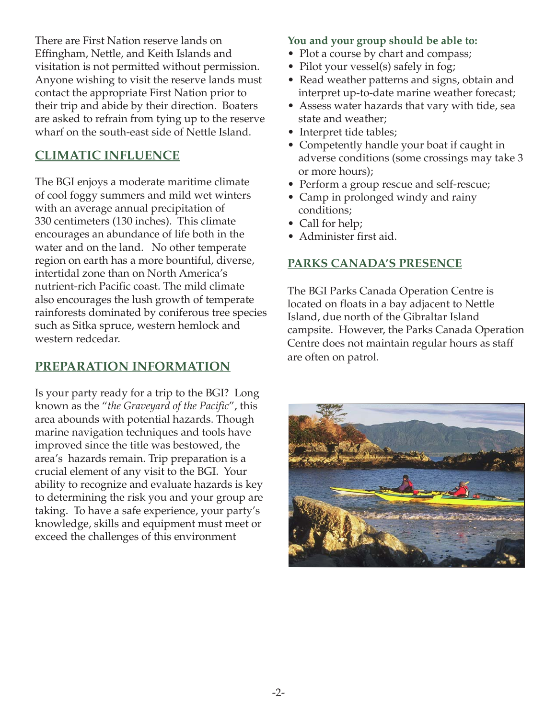There are First Nation reserve lands on Effingham, Nettle, and Keith Islands and visitation is not permitted without permission. Anyone wishing to visit the reserve lands must contact the appropriate First Nation prior to their trip and abide by their direction. Boaters are asked to refrain from tying up to the reserve wharf on the south-east side of Nettle Island.

# **CLIMATIC INFLUENCE**

The BGI enjoys a moderate maritime climate of cool foggy summers and mild wet winters with an average annual precipitation of 330 centimeters (130 inches). This climate encourages an abundance of life both in the water and on the land. No other temperate region on earth has a more bountiful, diverse, intertidal zone than on North America's nutrient-rich Pacific coast. The mild climate also encourages the lush growth of temperate rainforests dominated by coniferous tree species such as Sitka spruce, western hemlock and western redcedar.

## **PREPARATION INFORMATION**

Is your party ready for a trip to the BGI? Long known as the "*the Graveyard of the Pacific*", this area abounds with potential hazards. Though marine navigation techniques and tools have improved since the title was bestowed, the area's hazards remain. Trip preparation is a crucial element of any visit to the BGI. Your ability to recognize and evaluate hazards is key to determining the risk you and your group are taking. To have a safe experience, your party's knowledge, skills and equipment must meet or exceed the challenges of this environment

#### **You and your group should be able to:**

- Plot a course by chart and compass;
- Pilot your vessel(s) safely in fog;
- Read weather patterns and signs, obtain and interpret up-to-date marine weather forecast;
- Assess water hazards that vary with tide, sea state and weather;
- Interpret tide tables;
- Competently handle your boat if caught in adverse conditions (some crossings may take 3 or more hours);
- Perform a group rescue and self-rescue;
- Camp in prolonged windy and rainy conditions;
- Call for help;
- Administer first aid.

### **PARKS CANADA'S PRESENCE**

The BGI Parks Canada Operation Centre is located on floats in a bay adjacent to Nettle Island, due north of the Gibraltar Island campsite. However, the Parks Canada Operation Centre does not maintain regular hours as staff are often on patrol.

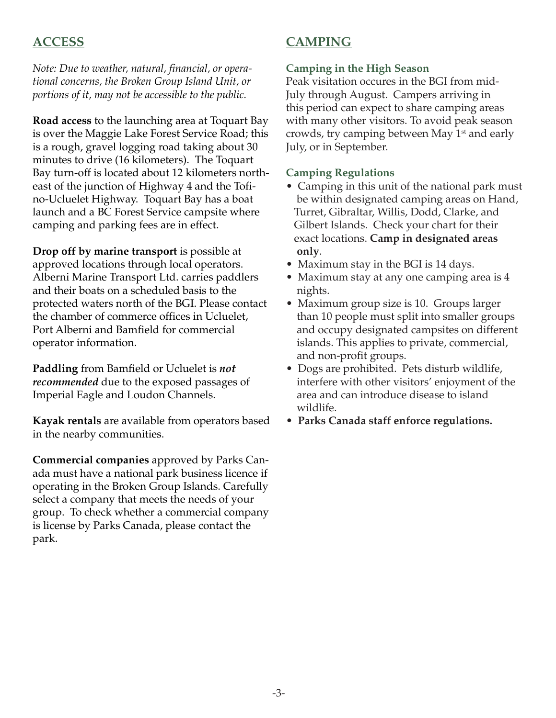## **ACCESS**

#### *Note: Due to weather, natural, financial, or operational concerns, the Broken Group Island Unit, or portions of it, may not be accessible to the public.*

**Road access** to the launching area at Toquart Bay is over the Maggie Lake Forest Service Road; this is a rough, gravel logging road taking about 30 minutes to drive (16 kilometers). The Toquart Bay turn-off is located about 12 kilometers northeast of the junction of Highway 4 and the Tofino-Ucluelet Highway. Toquart Bay has a boat launch and a BC Forest Service campsite where camping and parking fees are in effect.

**Drop off by marine transport** is possible at approved locations through local operators. Alberni Marine Transport Ltd. carries paddlers and their boats on a scheduled basis to the protected waters north of the BGI. Please contact the chamber of commerce offices in Ucluelet, Port Alberni and Bamfield for commercial operator information.

**Paddling** from Bamfield or Ucluelet is *not recommended* due to the exposed passages of Imperial Eagle and Loudon Channels.

**Kayak rentals** are available from operators based in the nearby communities.

**Commercial companies** approved by Parks Canada must have a national park business licence if operating in the Broken Group Islands. Carefully select a company that meets the needs of your group. To check whether a commercial company is license by Parks Canada, please contact the park.

# **CAMPING**

#### **Camping in the High Season**

Peak visitation occures in the BGI from mid-July through August. Campers arriving in this period can expect to share camping areas with many other visitors. To avoid peak season crowds, try camping between May 1<sup>st</sup> and early July, or in September.

#### **Camping Regulations**

- Camping in this unit of the national park must be within designated camping areas on Hand, Turret, Gibraltar, Willis, Dodd, Clarke, and Gilbert Islands. Check your chart for their exact locations. **Camp in designated areas only**.
- Maximum stay in the BGI is 14 days.
- Maximum stay at any one camping area is 4 nights.
- Maximum group size is 10. Groups larger than 10 people must split into smaller groups and occupy designated campsites on different islands. This applies to private, commercial, and non-profit groups.
- Dogs are prohibited. Pets disturb wildlife, interfere with other visitors' enjoyment of the area and can introduce disease to island wildlife.
- **Parks Canada staff enforce regulations.**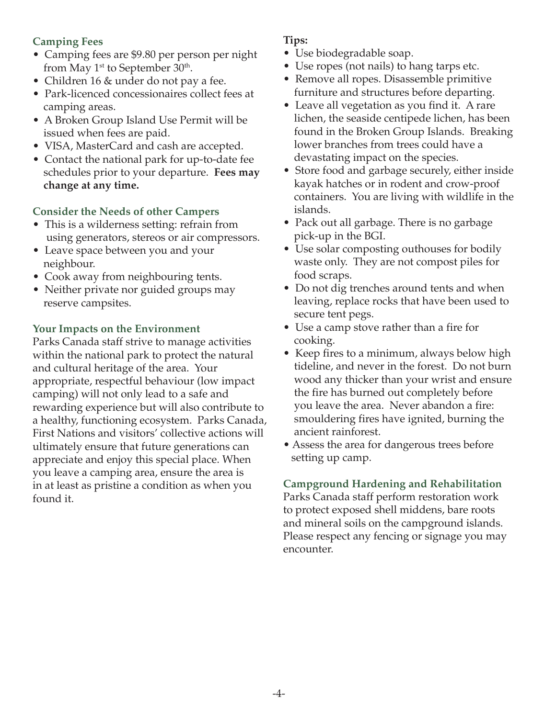#### **Camping Fees**

- Camping fees are \$9.80 per person per night from May  $1<sup>st</sup>$  to September 30<sup>th</sup>.
- Children 16 & under do not pay a fee.
- Park-licenced concessionaires collect fees at camping areas.
- A Broken Group Island Use Permit will be issued when fees are paid.
- VISA, MasterCard and cash are accepted.
- Contact the national park for up-to-date fee schedules prior to your departure. **Fees may change at any time.**

#### **Consider the Needs of other Campers**

- This is a wilderness setting: refrain from using generators, stereos or air compressors.
- Leave space between you and your neighbour.
- Cook away from neighbouring tents.
- Neither private nor guided groups may reserve campsites.

#### **Your Impacts on the Environment**

Parks Canada staff strive to manage activities within the national park to protect the natural and cultural heritage of the area. Your appropriate, respectful behaviour (low impact camping) will not only lead to a safe and rewarding experience but will also contribute to a healthy, functioning ecosystem. Parks Canada, First Nations and visitors' collective actions will ultimately ensure that future generations can appreciate and enjoy this special place. When you leave a camping area, ensure the area is in at least as pristine a condition as when you found it.

#### **Tips:**

- Use biodegradable soap.
- Use ropes (not nails) to hang tarps etc.
- Remove all ropes. Disassemble primitive furniture and structures before departing.
- Leave all vegetation as you find it. A rare lichen, the seaside centipede lichen, has been found in the Broken Group Islands. Breaking lower branches from trees could have a devastating impact on the species.
- Store food and garbage securely, either inside kayak hatches or in rodent and crow-proof containers. You are living with wildlife in the islands.
- Pack out all garbage. There is no garbage pick-up in the BGI.
- Use solar composting outhouses for bodily waste only. They are not compost piles for food scraps.
- Do not dig trenches around tents and when leaving, replace rocks that have been used to secure tent pegs.
- Use a camp stove rather than a fire for cooking.
- Keep fires to a minimum, always below high tideline, and never in the forest. Do not burn wood any thicker than your wrist and ensure the fire has burned out completely before you leave the area. Never abandon a fire: smouldering fires have ignited, burning the ancient rainforest.
- Assess the area for dangerous trees before setting up camp.

**Campground Hardening and Rehabilitation** Parks Canada staff perform restoration work to protect exposed shell middens, bare roots and mineral soils on the campground islands. Please respect any fencing or signage you may encounter.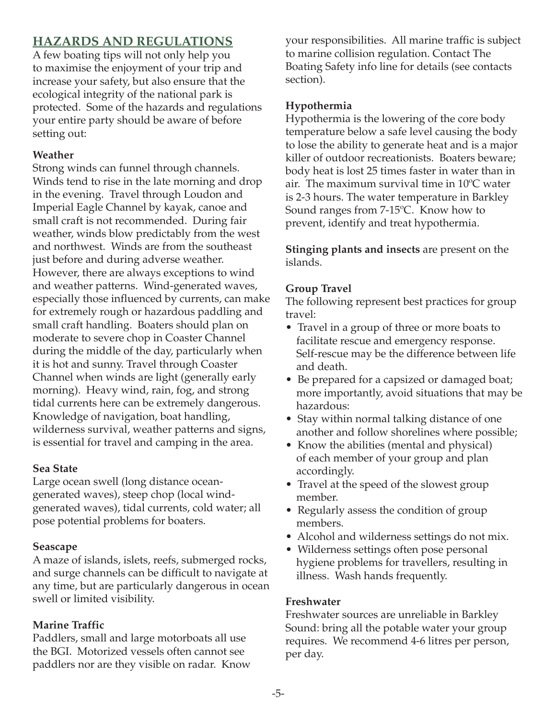# **HAZARDS AND REGULATIONS**

A few boating tips will not only help you to maximise the enjoyment of your trip and increase your safety, but also ensure that the ecological integrity of the national park is protected. Some of the hazards and regulations your entire party should be aware of before setting out:

#### **Weather**

Strong winds can funnel through channels. Winds tend to rise in the late morning and drop in the evening. Travel through Loudon and Imperial Eagle Channel by kayak, canoe and small craft is not recommended. During fair weather, winds blow predictably from the west and northwest. Winds are from the southeast just before and during adverse weather. However, there are always exceptions to wind and weather patterns. Wind-generated waves, especially those influenced by currents, can make for extremely rough or hazardous paddling and small craft handling. Boaters should plan on moderate to severe chop in Coaster Channel during the middle of the day, particularly when it is hot and sunny. Travel through Coaster Channel when winds are light (generally early morning). Heavy wind, rain, fog, and strong tidal currents here can be extremely dangerous. Knowledge of navigation, boat handling, wilderness survival, weather patterns and signs, is essential for travel and camping in the area.

#### **Sea State**

Large ocean swell (long distance oceangenerated waves), steep chop (local windgenerated waves), tidal currents, cold water; all pose potential problems for boaters.

#### **Seascape**

A maze of islands, islets, reefs, submerged rocks, and surge channels can be difficult to navigate at any time, but are particularly dangerous in ocean swell or limited visibility.

### **Marine Traffic**

Paddlers, small and large motorboats all use the BGI. Motorized vessels often cannot see paddlers nor are they visible on radar. Know your responsibilities. All marine traffic is subject to marine collision regulation. Contact The Boating Safety info line for details (see contacts section).

#### **Hypothermia**

Hypothermia is the lowering of the core body temperature below a safe level causing the body to lose the ability to generate heat and is a major killer of outdoor recreationists. Boaters beware; body heat is lost 25 times faster in water than in air. The maximum survival time in 10ºC water is 2-3 hours. The water temperature in Barkley Sound ranges from 7-15ºC. Know how to prevent, identify and treat hypothermia.

**Stinging plants and insects** are present on the islands.

### **Group Travel**

The following represent best practices for group travel:

- Travel in a group of three or more boats to facilitate rescue and emergency response. Self-rescue may be the difference between life and death.
- Be prepared for a capsized or damaged boat; more importantly, avoid situations that may be hazardous:
- Stay within normal talking distance of one another and follow shorelines where possible;
- Know the abilities (mental and physical) of each member of your group and plan accordingly.
- Travel at the speed of the slowest group member.
- Regularly assess the condition of group members.
- Alcohol and wilderness settings do not mix.
- Wilderness settings often pose personal hygiene problems for travellers, resulting in illness. Wash hands frequently.

#### **Freshwater**

Freshwater sources are unreliable in Barkley Sound: bring all the potable water your group requires. We recommend 4-6 litres per person, per day.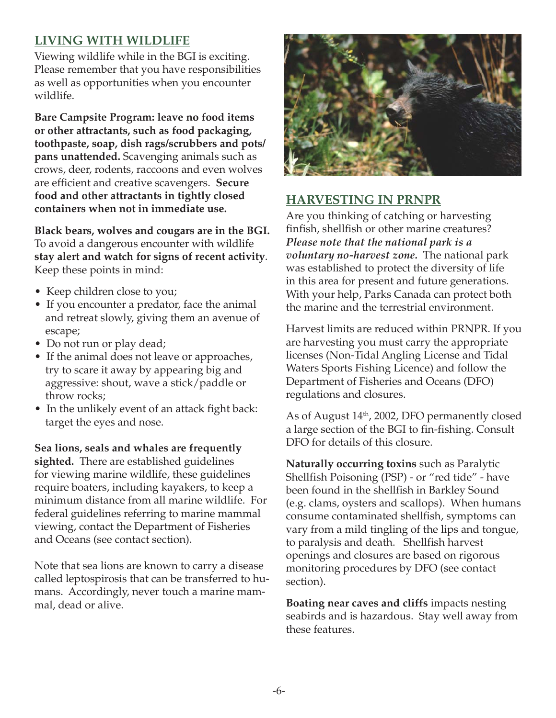# **LIVING WITH WILDLIFE**

Viewing wildlife while in the BGI is exciting. Please remember that you have responsibilities as well as opportunities when you encounter wildlife.

**Bare Campsite Program: leave no food items or other attractants, such as food packaging, toothpaste, soap, dish rags/scrubbers and pots/ pans unattended.** Scavenging animals such as crows, deer, rodents, raccoons and even wolves are efficient and creative scavengers. **Secure food and other attractants in tightly closed containers when not in immediate use.**

**Black bears, wolves and cougars are in the BGI.** To avoid a dangerous encounter with wildlife **stay alert and watch for signs of recent activity**. Keep these points in mind:

- Keep children close to you;
- If you encounter a predator, face the animal and retreat slowly, giving them an avenue of escape;
- Do not run or play dead;
- If the animal does not leave or approaches, try to scare it away by appearing big and aggressive: shout, wave a stick/paddle or throw rocks;
- In the unlikely event of an attack fight back: target the eyes and nose.

**Sea lions, seals and whales are frequently sighted.** There are established guidelines for viewing marine wildlife, these guidelines require boaters, including kayakers, to keep a minimum distance from all marine wildlife. For federal guidelines referring to marine mammal viewing, contact the Department of Fisheries and Oceans (see contact section).

Note that sea lions are known to carry a disease called leptospirosis that can be transferred to humans. Accordingly, never touch a marine mammal, dead or alive.



# **HARVESTING IN PRNPR**

Are you thinking of catching or harvesting finfish, shellfish or other marine creatures? *Please note that the national park is a voluntary no-harvest zone.* The national park was established to protect the diversity of life in this area for present and future generations. With your help, Parks Canada can protect both the marine and the terrestrial environment.

Harvest limits are reduced within PRNPR. If you are harvesting you must carry the appropriate licenses (Non-Tidal Angling License and Tidal Waters Sports Fishing Licence) and follow the Department of Fisheries and Oceans (DFO) regulations and closures.

As of August 14th, 2002, DFO permanently closed a large section of the BGI to fin-fishing. Consult DFO for details of this closure.

**Naturally occurring toxins** such as Paralytic Shellfish Poisoning (PSP) - or "red tide" - have been found in the shellfish in Barkley Sound (e.g. clams, oysters and scallops). When humans consume contaminated shellfish, symptoms can vary from a mild tingling of the lips and tongue, to paralysis and death. Shellfish harvest openings and closures are based on rigorous monitoring procedures by DFO (see contact section).

**Boating near caves and cliffs** impacts nesting seabirds and is hazardous. Stay well away from these features.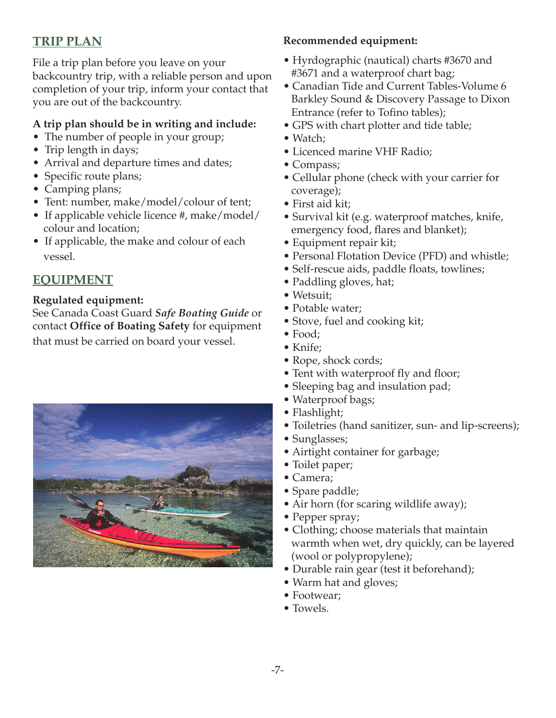# **TRIP PLAN**

File a trip plan before you leave on your backcountry trip, with a reliable person and upon completion of your trip, inform your contact that you are out of the backcountry.

### **A trip plan should be in writing and include:**

- The number of people in your group;
- Trip length in days;
- Arrival and departure times and dates;
- Specific route plans;
- Camping plans;
- Tent: number, make/model/colour of tent;
- If applicable vehicle licence #, make/model/ colour and location;
- If applicable, the make and colour of each vessel.

# **EQUIPMENT**

#### **Regulated equipment:**

See Canada Coast Guard *Safe Boating Guide* or contact **Office of Boating Safety** for equipment that must be carried on board your vessel.



## **Recommended equipment:**

- Hyrdographic (nautical) charts #3670 and #3671 and a waterproof chart bag;
- Canadian Tide and Current Tables-Volume 6 Barkley Sound & Discovery Passage to Dixon Entrance (refer to Tofino tables);
- GPS with chart plotter and tide table;
- Watch;
- Licenced marine VHF Radio;
- Compass;
- Cellular phone (check with your carrier for coverage);
- First aid kit;
- Survival kit (e.g. waterproof matches, knife, emergency food, flares and blanket);
- Equipment repair kit;
- Personal Flotation Device (PFD) and whistle;
- Self-rescue aids, paddle floats, towlines;
- Paddling gloves, hat;
- Wetsuit;
- Potable water;
- Stove, fuel and cooking kit;
- Food;
- Knife;
- Rope, shock cords;
- Tent with waterproof fly and floor;
- Sleeping bag and insulation pad;
- Waterproof bags;
- Flashlight;
- Toiletries (hand sanitizer, sun- and lip-screens);
- Sunglasses;
- Airtight container for garbage;
- Toilet paper;
- Camera;
- Spare paddle;
- Air horn (for scaring wildlife away);
- Pepper spray;
- Clothing; choose materials that maintain warmth when wet, dry quickly, can be layered (wool or polypropylene);
- Durable rain gear (test it beforehand);
- Warm hat and gloves;
- Footwear;
- Towels.